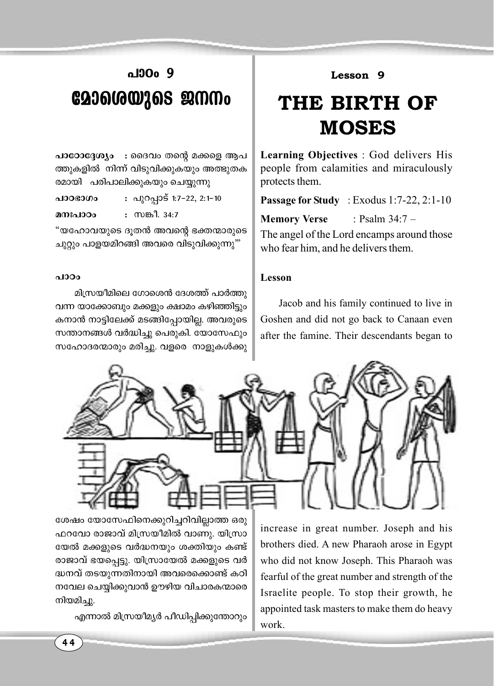### പാഠം 9 മോശെയുടെ ജനനം

പാഠോദ്ദേശ്യം : ദൈവം തന്റെ മക്കളെ ആപ ത്തുകളിൽ നിന്ന് വിടുവിക്കുകയും അത്ഭുതക രമായി പരിപാലിക്കുകയും ചെയ്യുന്നു

: പുറപ്പാട് 1:7-22, 2:1-10

പാഠഭാഗം

: സങ്കീ. 34:7 മനഃപാഠം

"യഹോവയുടെ ദുതൻ അവന്റെ ഭക്തന്മാരുടെ ചുറ്റും പാളയമിറങ്ങി അവരെ വിടുവിക്കുന്നു""

#### പാഠം

മിസ്രയീമിലെ ഗോശെൻ ദേശത്ത് പാർത്തു വന്ന യാക്കോബും മക്കളും ക്ഷാമം കഴിഞ്ഞിട്ടും കനാൻ നാട്ടിലേക്ക് മടങ്ങിപ്പോയില്ല. അവരുടെ സന്താനങ്ങൾ വർദ്ധിച്ചു പെരുകി. യോസേഫും സഹോദരന്മാരും മരിച്ചു. വളരെ നാളുകൾക്കു

### Lesson 9

## THE BIRTH OF **MOSES**

**Learning Objectives** : God delivers His people from calamities and miraculously protects them.

**Passage for Study** : Exodus  $1:7-22, 2:1-10$ 

**Memory Verse** : Psalm  $34:7-$ 

The angel of the Lord encamps around those who fear him, and he delivers them.

### Lesson

Jacob and his family continued to live in Goshen and did not go back to Canaan even after the famine. Their descendants began to



ശേഷം യോസേഫിനെക്കുറിച്ചറിവില്ലാത്ത ഒരു ഫറവോ രാജാവ് മിസ്രയീമിൽ വാണു. യിസ്രാ യേൽ മക്കളുടെ വർദ്ധനയും ശക്തിയും കണ്ട് രാജാവ് ഭയപ്പെട്ടു. യിസ്രായേൽ മക്കളുടെ വർ ദ്ധനവ് തടയുന്നതിനായി അവരെക്കൊണ്ട് കഠി നവേല ചെയ്യിക്കുവാൻ ഊഴിയ വിചാരകന്മാരെ നിയമിച്ചു.

എന്നാൽ മിസ്രയീമൃർ പീഡിപ്പിക്കുന്തോറും

increase in great number. Joseph and his brothers died. A new Pharaoh arose in Egypt who did not know Joseph. This Pharaoh was fearful of the great number and strength of the Israelite people. To stop their growth, he appointed task masters to make them do heavy work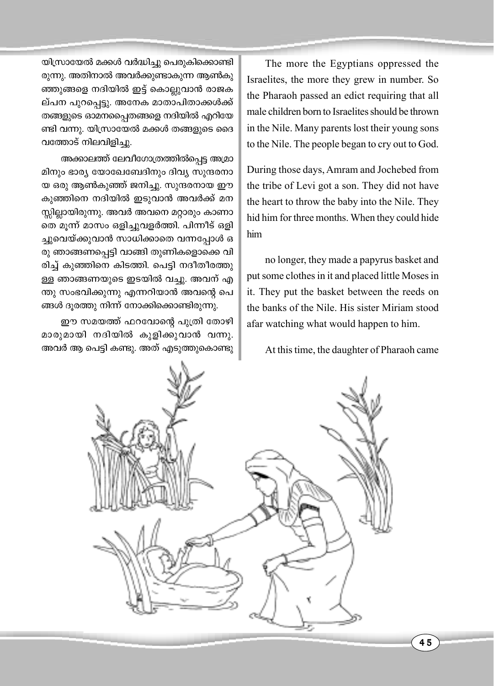യിസ്രായേൽ മക്കൾ വർദ്ധിച്ചു പെരുകിക്കൊണ്ടി രുന്നു. അതിനാൽ അവർക്കുണ്ടാകുന്ന ആൺകു ഞ്ഞുങ്ങളെ നദിയിൽ ഇട്ട് കൊല്ലുവാൻ രാജക ല്പന പുറപ്പെട്ടു. അനേക മാതാപിതാക്കൾക്ക് തങ്ങളുടെ ഓമനപ്പൈതങ്ങളെ നദിയിൽ എറിയേ ണ്ടി വന്നു. യിസ്രായേൽ മക്കൾ തങ്ങളുടെ ദൈ വത്തോട് നിലവിളിച്ചു.

അക്കാലത്ത് ലേവീഗോത്രത്തിൽപ്പെട്ട അമ്രാ മിനും ഭാര്യ യോഖേബേദിനും ദിവ്യ സുന്ദരനാ യ ഒരു ആൺകുഞ്ഞ് ജനിച്ചു. സുന്ദരനായ ഈ കുഞ്ഞിനെ നദിയിൽ ഇടുവാൻ അവർക്ക് മന സ്സില്ലായിരുന്നു. അവർ അവനെ മറ്റാരും കാണാ തെ മുന്ന് മാസം ഒളിച്ചുവളർത്തി. പിന്നീട് ഒളി ച്ചുവെയ്ക്കുവാൻ സാധിക്കാതെ വന്നപ്പോൾ ഒ രു ഞാങ്ങണപ്പെട്ടി വാങ്ങി തുണികളൊക്കെ വി രിച്ച് കുഞ്ഞിനെ കിടത്തി. പെട്ടി നദീതീരത്തു ള്ള ഞാങ്ങണയുടെ ഇടയിൽ വച്ചു. അവന് എ ന്തു സംഭവിക്കുന്നു എന്നറിയാൻ അവന്റെ പെ ങ്ങൾ ദൂരത്തു നിന്ന് നോക്കിക്കൊണ്ടിരുന്നു.

ഈ സമയത്ത് ഫറവോന്റെ പുത്രി തോഴി മാരുമായി നദിയിൽ കുളിക്കുവാൻ വന്നു. അവർ ആ പെട്ടി കണ്ടു. അത് എടുത്തുകൊണ്ടു

The more the Egyptians oppressed the Israelites, the more they grew in number. So the Pharaoh passed an edict requiring that all male children born to Israelites should be thrown in the Nile. Many parents lost their young sons to the Nile. The people began to cry out to God.

During those days, Amram and Jochebed from the tribe of Levi got a son. They did not have the heart to throw the baby into the Nile. They hid him for three months. When they could hide him

no longer, they made a papyrus basket and put some clothes in it and placed little Moses in it. They put the basket between the reeds on the banks of the Nile. His sister Miriam stood afar watching what would happen to him.

At this time, the daughter of Pharaoh came

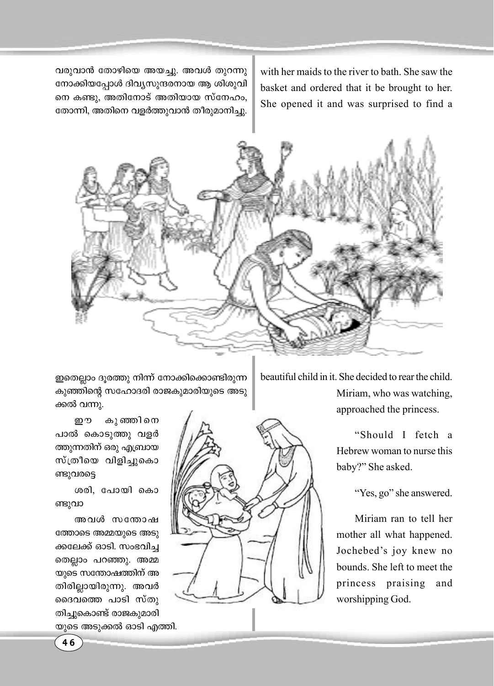വരുവാൻ തോഴിയെ അയച്ചു. അവൾ തുറന്നു നോക്കിയപ്പോൾ ദിവ്യസുന്ദരനായ ആ ശിശുവി നെ കണ്ടു, അതിനോട് അതിയായ സ്നേഹം, തോന്നി, അതിനെ വളർത്തുവാൻ തീരുമാനിച്ചു.

with her maids to the river to bath. She saw the basket and ordered that it be brought to her. She opened it and was surprised to find a



ഇതെല്ലാം ദുരത്തു നിന്ന് നോക്കിക്കൊണ്ടിരുന്ന കുഞ്ഞിന്റെ സഹോദരി രാജകുമാരിയുടെ അടു ക്കൽ വന്നു.

ഈ കുഞ്ഞിനെ പാൽ കൊടുത്തു വളർ ത്തുന്നതിന് ഒരു എബ്രായ സ്ത്രീയെ വിളിച്ചുകൊ ണ്ടുവരട്ടെ

ശരി, പോയി കൊ ണ്ടുവാ

അവൾ സന്തോഷ ത്തോടെ അമ്മയുടെ അടു ക്കലേക്ക് ഓടി. സംഭവിച്ച തെല്ലാം പറഞ്ഞു. അമ്മ യുടെ സന്തോഷത്തിന് അ തിരില്ലായിരുന്നു. അവർ ദൈവത്തെ പാടി സ്തു തിച്ചുകൊണ്ട് രാജകുമാരി യുടെ അടുക്കൽ ഓടി എത്തി.



beautiful child in it. She decided to rear the child. Miriam, who was watching, approached the princess.

> "Should I fetch a Hebrew woman to nurse this baby?" She asked.

> > "Yes, go" she answered.

Miriam ran to tell her mother all what happened. Jochebed's joy knew no bounds. She left to meet the princess praising and worshipping God.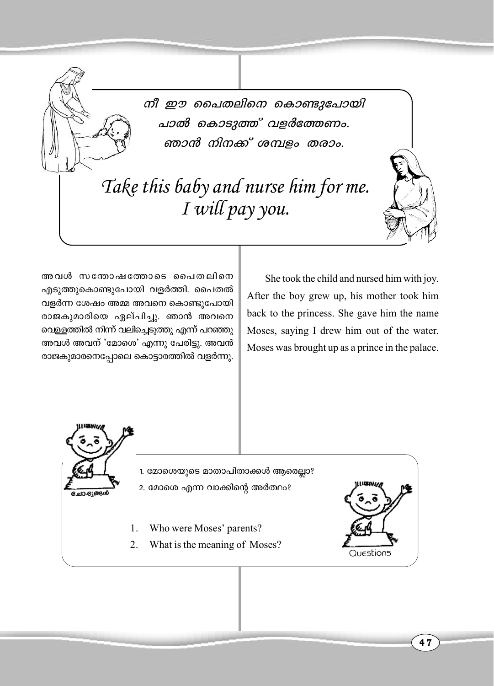നീ ഈ പൈതലിനെ കൊണ്ടുപോയി പാൽ കൊടുത്ത് വളർത്തേണം. ഞാൻ നിനക്ക് ശമ്പളം തരാം.

# Take this baby and nurse him for me. I will pay you.

അവൾ സന്തോഷത്തോടെ പൈതലിനെ എടുത്തുകൊണ്ടുപോയി വളർത്തി. പൈതൽ വളർന്ന ശേഷം അമ്മ അവനെ കൊണ്ടുപോയി രാജകുമാരിയെ ഏല്പിച്ചു. ഞാൻ അവനെ വെളളത്തിൽ നിന്ന് വലിച്ചെടുത്തു എന്ന് പറഞ്ഞു അവൾ അവന് 'മോശെ' എന്നു പേരിട്ടു. അവൻ രാജകുമാരനെപ്പോലെ കൊട്ടാരത്തിൽ വളർന്നു.

She took the child and nursed him with joy. After the boy grew up, his mother took him back to the princess. She gave him the name Moses, saying I drew him out of the water. Moses was brought up as a prince in the palace.



1. മോശെയുടെ മാതാപിതാക്കൾ ആരെല്ലാ?

- 2. മോഗെ എന്ന വാക്കിന്റെ അർത്ഥം?
- $\mathbf{1}$ . Who were Moses' parents?
- $\overline{2}$ . What is the meaning of Moses?